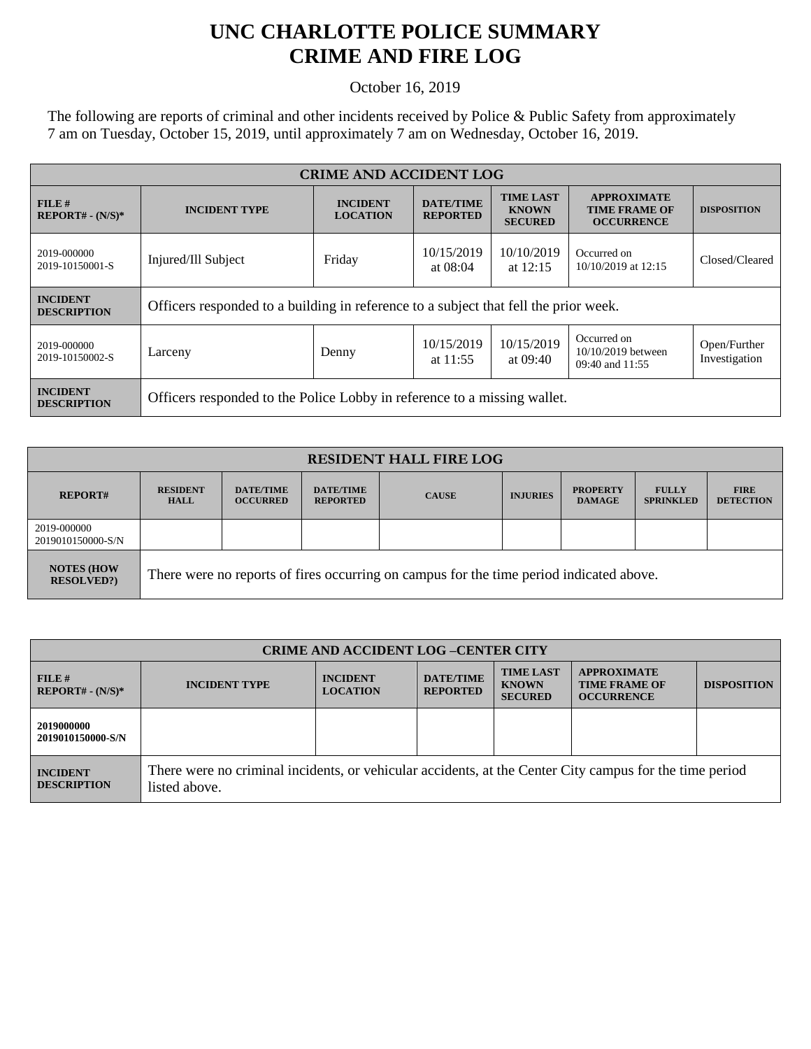## **UNC CHARLOTTE POLICE SUMMARY CRIME AND FIRE LOG**

October 16, 2019

The following are reports of criminal and other incidents received by Police & Public Safety from approximately 7 am on Tuesday, October 15, 2019, until approximately 7 am on Wednesday, October 16, 2019.

| <b>CRIME AND ACCIDENT LOG</b>         |                                                                                      |                                                                |                                     |                                                    |                                                                 |                               |
|---------------------------------------|--------------------------------------------------------------------------------------|----------------------------------------------------------------|-------------------------------------|----------------------------------------------------|-----------------------------------------------------------------|-------------------------------|
| FILE#<br>$REPORT# - (N/S)*$           | <b>INCIDENT TYPE</b>                                                                 | <b>INCIDENT</b><br><b>LOCATION</b>                             | <b>DATE/TIME</b><br><b>REPORTED</b> | <b>TIME LAST</b><br><b>KNOWN</b><br><b>SECURED</b> | <b>APPROXIMATE</b><br><b>TIME FRAME OF</b><br><b>OCCURRENCE</b> | <b>DISPOSITION</b>            |
| 2019-000000<br>2019-10150001-S        | Injured/Ill Subject                                                                  | 10/15/2019<br>10/10/2019<br>Friday<br>at $08:04$<br>at $12:15$ |                                     | Occurred on<br>10/10/2019 at 12:15                 | Closed/Cleared                                                  |                               |
| <b>INCIDENT</b><br><b>DESCRIPTION</b> | Officers responded to a building in reference to a subject that fell the prior week. |                                                                |                                     |                                                    |                                                                 |                               |
| 2019-000000<br>2019-10150002-S        | Larceny                                                                              | Denny                                                          | 10/15/2019<br>at $11:55$            | 10/15/2019<br>at 09:40                             | Occurred on<br>10/10/2019 between<br>09:40 and 11:55            | Open/Further<br>Investigation |
| <b>INCIDENT</b><br><b>DESCRIPTION</b> | Officers responded to the Police Lobby in reference to a missing wallet.             |                                                                |                                     |                                                    |                                                                 |                               |

| <b>RESIDENT HALL FIRE LOG</b>         |                                                                                         |                                     |                                     |              |                 |                                  |                                  |                                 |
|---------------------------------------|-----------------------------------------------------------------------------------------|-------------------------------------|-------------------------------------|--------------|-----------------|----------------------------------|----------------------------------|---------------------------------|
| <b>REPORT#</b>                        | <b>RESIDENT</b><br><b>HALL</b>                                                          | <b>DATE/TIME</b><br><b>OCCURRED</b> | <b>DATE/TIME</b><br><b>REPORTED</b> | <b>CAUSE</b> | <b>INJURIES</b> | <b>PROPERTY</b><br><b>DAMAGE</b> | <b>FULLY</b><br><b>SPRINKLED</b> | <b>FIRE</b><br><b>DETECTION</b> |
| 2019-000000<br>2019010150000-S/N      |                                                                                         |                                     |                                     |              |                 |                                  |                                  |                                 |
| <b>NOTES (HOW</b><br><b>RESOLVED?</b> | There were no reports of fires occurring on campus for the time period indicated above. |                                     |                                     |              |                 |                                  |                                  |                                 |

| <b>CRIME AND ACCIDENT LOG-CENTER CITY</b> |                                                                                                                          |                                    |                                     |                                                    |                                                                 |                    |  |
|-------------------------------------------|--------------------------------------------------------------------------------------------------------------------------|------------------------------------|-------------------------------------|----------------------------------------------------|-----------------------------------------------------------------|--------------------|--|
| FILE#<br>$REPORT# - (N/S)*$               | <b>INCIDENT TYPE</b>                                                                                                     | <b>INCIDENT</b><br><b>LOCATION</b> | <b>DATE/TIME</b><br><b>REPORTED</b> | <b>TIME LAST</b><br><b>KNOWN</b><br><b>SECURED</b> | <b>APPROXIMATE</b><br><b>TIME FRAME OF</b><br><b>OCCURRENCE</b> | <b>DISPOSITION</b> |  |
| 2019000000<br>2019010150000-S/N           |                                                                                                                          |                                    |                                     |                                                    |                                                                 |                    |  |
| <b>INCIDENT</b><br><b>DESCRIPTION</b>     | There were no criminal incidents, or vehicular accidents, at the Center City campus for the time period<br>listed above. |                                    |                                     |                                                    |                                                                 |                    |  |